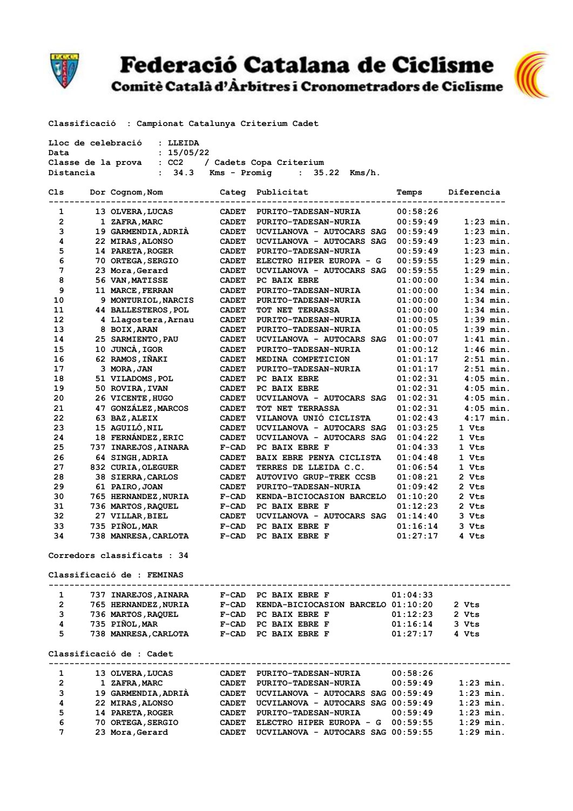

## Federació Catalana de Ciclisme<br>Comitè Català d'Àrbitres i Cronometradors de Ciclisme



**Classificació : Campionat Catalunya Criterium Cadet** 

| Lloc de celebració : LLEIDA |                                                       |  |
|-----------------------------|-------------------------------------------------------|--|
| Data                        | : 15/05/22                                            |  |
|                             | Classe de la prova   : CC2    / Cadets Copa Criterium |  |
| Distancia                   | : 34.3                                                |  |

| C1s |     | Dor Cognom, Nom             | Categ        | Publicitat                     | Temps    | Diferencia  |
|-----|-----|-----------------------------|--------------|--------------------------------|----------|-------------|
| 1   |     | 13 OLVERA, LUCAS            | <b>CADET</b> | PURITO-TADESAN-NURIA           | 00:58:26 |             |
| 2   |     | 1 ZAFRA, MARC               | <b>CADET</b> | <b>PURITO-TADESAN-NURIA</b>    | 00:59:49 | $1:23$ min. |
| 3   |     | 19 GARMENDIA, ADRIÀ         | <b>CADET</b> | UCVILANOVA - AUTOCARS SAG      | 00:59:49 | $1:23$ min. |
| 4   |     | 22 MIRAS, ALONSO            | <b>CADET</b> | UCVILANOVA - AUTOCARS SAG      | 00:59:49 | $1:23$ min. |
| 5   |     | 14 PARETA, ROGER            | <b>CADET</b> | PURITO-TADESAN-NURIA           | 00:59:49 | $1:23$ min. |
| 6   |     | 70 ORTEGA, SERGIO           | <b>CADET</b> | ELECTRO HIPER EUROPA - G       | 00:59:55 | $1:29$ min. |
| 7   |     | 23 Mora, Gerard             | <b>CADET</b> | UCVILANOVA - AUTOCARS SAG      | 00:59:55 | $1:29$ min. |
| 8   |     | 56 VAN, MATISSE             | <b>CADET</b> | PC BAIX EBRE                   | 01:00:00 | $1:34$ min. |
| 9   |     | 11 MARCE, FERRAN            | <b>CADET</b> | PURITO-TADESAN-NURIA           | 01:00:00 | $1:34$ min. |
| 10  |     | 9 MONTURIOL, NARCIS         | <b>CADET</b> | PURITO-TADESAN-NURIA           | 01:00:00 | $1:34$ min. |
| 11  |     | 44 BALLESTEROS, POL         | <b>CADET</b> | TOT NET TERRASSA               | 01:00:00 | $1:34$ min. |
| 12  |     | 4 Llagostera, Arnau         | <b>CADET</b> | PURITO-TADESAN-NURIA           | 01:00:05 | $1:39$ min. |
| 13  |     | 8 BOIX, ARAN                | <b>CADET</b> | <b>PURITO-TADESAN-NURIA</b>    | 01:00:05 | $1:39$ min. |
| 14  | 25  | <b>SARMIENTO, PAU</b>       | <b>CADET</b> | UCVILANOVA - AUTOCARS SAG      | 01:00:07 | $1:41$ min. |
| 15  | 10  | <b>JUNCÀ, IGOR</b>          | <b>CADET</b> | <b>PURITO-TADESAN-NURIA</b>    | 01:00:12 | $1:46$ min. |
| 16  |     | 62 RAMOS, IÑAKI             | <b>CADET</b> | MEDINA COMPETICION             | 01:01:17 | $2:51$ min. |
| 17  |     | 3 MORA, JAN                 | <b>CADET</b> | <b>PURITO-TADESAN-NURIA</b>    | 01:01:17 | $2:51$ min. |
| 18  |     | 51 VILADOMS, POL            | <b>CADET</b> | PC BAIX EBRE                   | 01:02:31 | $4:05$ min. |
| 19  |     | 50 ROVIRA, IVAN             | <b>CADET</b> | PC BAIX EBRE                   | 01:02:31 | $4:05$ min. |
| 20  |     | 26 VICENTE, HUGO            | <b>CADET</b> | UCVILANOVA - AUTOCARS SAG      | 01:02:31 | $4:05$ min. |
| 21  | 47  | <b>GONZÁLEZ, MARCOS</b>     | <b>CADET</b> | TOT NET TERRASSA               | 01:02:31 | $4:05$ min. |
| 22  | 63  | <b>BAZ, ALEIX</b>           | <b>CADET</b> | VILANOVA UNIÓ CICLISTA         | 01:02:43 | $4:17$ min. |
| 23  |     | 15 AGUILÓ, NIL              | <b>CADET</b> | UCVILANOVA - AUTOCARS SAG      | 01:03:25 | 1 Vts       |
| 24  |     | 18 FERNÁNDEZ, ERIC          | <b>CADET</b> | UCVILANOVA - AUTOCARS SAG      | 01:04:22 | 1 Vts       |
| 25  | 737 | <b>INAREJOS, AINARA</b>     | $F-CAD$      | PC BAIX EBRE F                 | 01:04:33 | 1 Vts       |
| 26  |     | 64 SINGH, ADRIA             | <b>CADET</b> | BAIX EBRE PENYA CICLISTA       | 01:04:48 | 1 Vts       |
| 27  |     | 832 CURIA, OLEGUER          | <b>CADET</b> | TERRES DE LLEIDA C.C.          | 01:06:54 | 1 Vts       |
| 28  |     | 38 SIERRA, CARLOS           | <b>CADET</b> | <b>AUTOVIVO GRUP-TREK CCSB</b> | 01:08:21 | 2 Vts       |
| 29  |     | 61 PAIRO, JOAN              | <b>CADET</b> | PURITO-TADESAN-NURIA           | 01:09:42 | 2 Vts       |
| 30  |     | 765 HERNANDEZ, NURIA        | $F-CAD$      | KENDA-BICIOCASION BARCELO      | 01:10:20 | 2 Vts       |
| 31  |     | 736 MARTOS, RAQUEL          | $F-CAD$      | PC BAIX EBRE F                 | 01:12:23 | 2 Vts       |
| 32  |     | 27 VILLAR, BIEL             | <b>CADET</b> | UCVILANOVA - AUTOCARS SAG      | 01:14:40 | 3 Vts       |
| 33  |     | 735 PIÑOL, MAR              | $F-CAD$      | PC BAIX EBRE F                 | 01:16:14 | 3 Vts       |
| 34  |     | 738 MANRESA, CARLOTA        | $F-CAD$      | PC BAIX EBRE F                 | 01:27:17 | 4 Vts       |
|     |     | Corredors classificats : 34 |              |                                |          |             |

**Classificació de : FEMINAS**

|                          | <b>INAREJOS, AINARA</b><br>737 | $F-CAD$ | PC BAIX EBRE F                     | 01:04:33 |       |  |
|--------------------------|--------------------------------|---------|------------------------------------|----------|-------|--|
| $\overline{2}$           | 765 HERNANDEZ, NURIA           | $F-CAD$ | KENDA-BICIOCASION BARCELO 01:10:20 |          | 2 Vts |  |
| 3                        | 736 MARTOS, RAQUEL             | $F-CAD$ | PC BAIX EBRE F                     | 01:12:23 | 2 Vts |  |
| 4                        | 735 PIÑOL, MAR                 | $F-CAD$ | PC BAIX EBRE F                     | 01:16:14 | 3 Vts |  |
| 5                        | 738 MANRESA, CARLOTA           | $F-CAD$ | PC BAIX EBRE F                     | 01:27:17 | 4 Vts |  |
| Classificació de : Cadet |                                |         |                                    |          |       |  |

| ᅩ              | 13 OLVERA, LUCAS    | <b>CADET</b> | <b>PURITO-TADESAN-NURIA</b>           | 00:58:26                |
|----------------|---------------------|--------------|---------------------------------------|-------------------------|
| $\overline{2}$ | 1 ZAFRA, MARC       | <b>CADET</b> | <b>PURITO-TADESAN-NURIA</b>           | 00:59:49<br>$1:23$ min. |
| 3              | 19 GARMENDIA, ADRIÀ | CADET        | UCVILANOVA - AUTOCARS SAG 00:59:49    | $1:23$ min.             |
| 4              | 22 MIRAS, ALONSO    | <b>CADET</b> | UCVILANOVA - AUTOCARS SAG 00:59:49    | $1:23$ min.             |
| 5              | 14 PARETA, ROGER    | <b>CADET</b> | <b>PURITO-TADESAN-NURIA</b>           | $1:23$ min.<br>00:59:49 |
| 6              | 70 ORTEGA, SERGIO   | <b>CADET</b> | ELECTRO HIPER EUROPA - $G = 00:59:55$ | $1:29$ min.             |
| 7              | 23 Mora, Gerard     | <b>CADET</b> | UCVILANOVA - AUTOCARS SAG 00:59:55    | $1:29$ min.             |